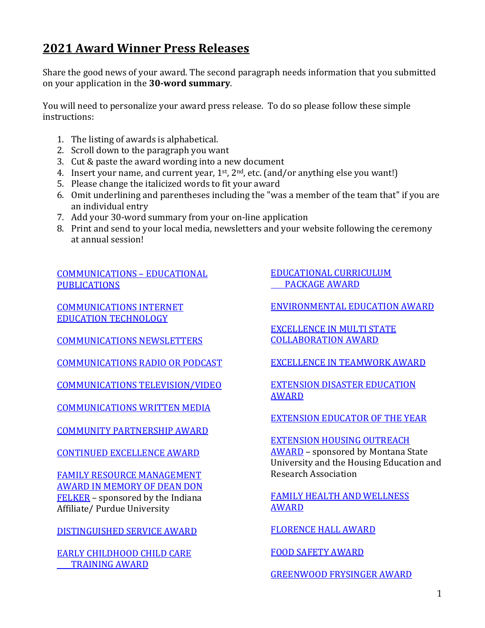# **2021 Award Winner Press Releases**

Share the good news of your award. The second paragraph needs information that you submitted on your application in the **30-word summary**.

You will need to personalize your award press release. To do so please follow these simple instructions:

- 1. The listing of awards is alphabetical.
- 2. Scroll down to the paragraph you want
- 3. Cut & paste the award wording into a new document
- 4. Insert your name, and current year,  $1^{st}$ ,  $2^{nd}$ , etc. (and/or anything else you want!)
- 5. Please change the italicized words to fit your award
- 6. Omit underlining and parentheses including the "was a member of the team that" if you are an individual entry
- 7. Add your 30-word summary from your on-line application
- 8. Print and send to your local media, newsletters and your website following the ceremony at annual session!

[COMMUNICATIONS](#page-1-0) – EDUCATIONAL **[PUBLICATIONS](#page-1-0)** 

[COMMUNICATIONS INTERNET](#page-1-1)  [EDUCATION TECHNOLOGY](#page-1-1)

[COMMUNICATIONS NEWSLETTERS](#page-2-0)

[COMMUNICATIONS RADIO OR PODCAST](#page-2-1)

[COMMUNICATIONS TELEVISION/VIDEO](#page-3-0)

[COMMUNICATIONS WRITTEN MEDIA](#page-3-1)

[COMMUNITY PARTNERSHIP](#page-2-1) AWARD

[CONTINUED EXCELLENCE](#page-4-0) AWARD

[FAMILY RESOURCE MANAGEMENT](#page-9-0)  [AWARD IN MEMORY OF DEAN DON](#page-9-0)  [FELKER](#page-9-0) – sponsored by the Indiana Affiliate/ Purdue University

[DISTINGUISHED SERVICE](#page-4-1) AWARD

[EARLY CHILDHOOD CHILD CARE](#page-5-0)  [TRAINING](#page-5-0) AWARD

[EDUCATIONAL CURRICULUM](#page-5-1)  [PACKAGE](#page-5-1) AWARD

[ENVIRONMENTAL EDUCATION](#page-6-0) AWARD

[EXCELLENCE IN MULTI STATE](#page-6-1)  [COLLABORATION AWARD](#page-6-1)

[EXCELLENCE IN TEAMWORK AWARD](#page-6-2)

[EXTENSION DISASTER EDUCATION](#page-7-0)  [AWARD](#page-7-0)

[EXTENSION EDUCATOR OF THE YEAR](#page-7-1)

[EXTENSION HOUSING OUTREACH](#page-8-0)  [AWARD](#page-8-0) – sponsored by Montana State University and the Housing Education and Research Association

[FAMILY HEALTH AND WELLNESS](#page-8-1)  [AWARD](#page-8-1)

[FLORENCE HALL](#page-9-1) AWARD

[FOOD SAFETY](#page-10-0) AWARD

[GREENWOOD FRYSINGER AWARD](#page-10-1)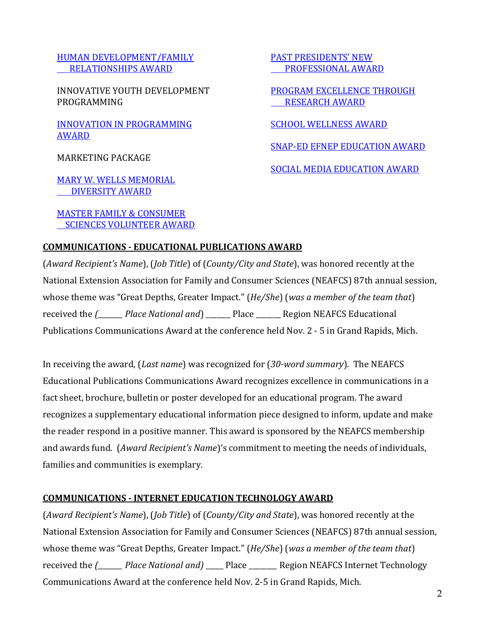## [HUMAN DEVELOPMENT/FAMILY](#page-11-0)   [RELATIONSHIPS AWARD](#page-11-0)

INNOVATIVE YOUTH DEVELOPMENT PROGRAMMING

INNOVATION [IN PROGRAMMING](#page-11-1)  [AWARD](#page-11-1)

MARKETING PACKAGE

[MARY W. WELLS MEMORIAL](#page-12-0)  [DIVERSITY](#page-12-0) AWARD

[MASTER FAMILY & CONSUMER](#page-13-0)   [SCIENCES VOLUNTEER](#page-13-0) AWARD [PAST PRESIDENTS' NEW](#page-13-1)  [PROFESSIONAL AWARD](#page-13-1)

[PROGRAM EXCELLENCE THROUGH](#page-14-0)  [RESEARCH](#page-14-0) AWARD

[SCHOOL WELLNESS AWARD](#page-14-1)

[SNAP-ED EFNEP EDUCATION AWARD](#page-15-0)

[SOCIAL MEDIA EDUCATION AWARD](#page-15-1)

## <span id="page-1-0"></span>**COMMUNICATIONS - EDUCATIONAL PUBLICATIONS AWARD**

(*Award Recipient's Name*), (*Job Title*) of (*County/City and State*), was honored recently at the National Extension Association for Family and Consumer Sciences (NEAFCS) 87th annual session, whose theme was "Great Depths, Greater Impact." (*He/She*) (*was a member of the team that*) received the *(\_\_\_\_\_\_\_ Place National and*) \_\_\_\_\_\_\_ Place \_\_\_\_\_\_\_ Region NEAFCS Educational Publications Communications Award at the conference held Nov. 2 - 5 in Grand Rapids, Mich.

In receiving the award, (*Last name*) was recognized for (*30-word summary*). The NEAFCS Educational Publications Communications Award recognizes excellence in communications in a fact sheet, brochure, bulletin or poster developed for an educational program. The award recognizes a supplementary educational information piece designed to inform, update and make the reader respond in a positive manner. This award is sponsored by the NEAFCS membership and awards fund. (*Award Recipient's Name*)'s commitment to meeting the needs of individuals, families and communities is exemplary.

#### <span id="page-1-1"></span>**COMMUNICATIONS - INTERNET EDUCATION TECHNOLOGY AWARD**

(*Award Recipient's Name*), (*Job Title*) of (*County/City and State*), was honored recently at the National Extension Association for Family and Consumer Sciences (NEAFCS) 87th annual session, whose theme was "Great Depths, Greater Impact." (*He/She*) (*was a member of the team that*) received the *(\_\_\_\_\_\_\_ Place National and)* \_\_\_\_\_ Place \_\_\_\_\_\_\_\_ Region NEAFCS Internet Technology Communications Award at the conference held Nov. 2-5 in Grand Rapids, Mich.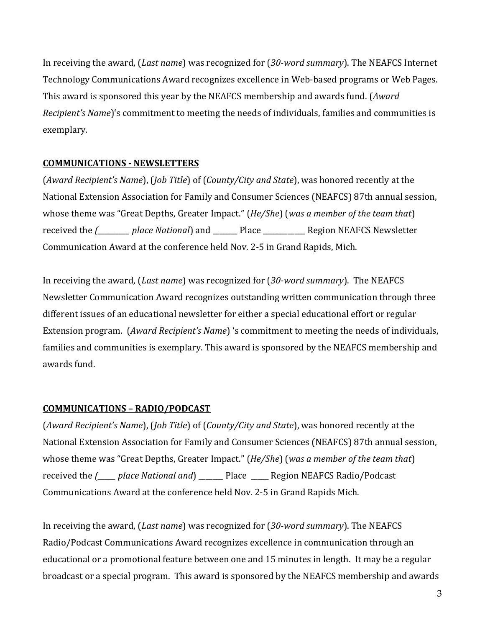In receiving the award, (*Last name*) was recognized for (*30-word summary*). The NEAFCS Internet Technology Communications Award recognizes excellence in Web-based programs or Web Pages. This award is sponsored this year by the NEAFCS membership and awards fund. (*Award Recipient's Name*)'s commitment to meeting the needs of individuals, families and communities is exemplary.

# <span id="page-2-0"></span>**COMMUNICATIONS - NEWSLETTERS**

(*Award Recipient's Name*), (*Job Title*) of (*County/City and State*), was honored recently at the National Extension Association for Family and Consumer Sciences (NEAFCS) 87th annual session, whose theme was "Great Depths, Greater Impact." (*He/She*) (*was a member of the team that*) received the *(\_\_\_\_\_\_\_\_\_ place National*) and \_\_\_\_\_\_\_ Place \_\_\_\_\_\_\_\_\_\_\_\_ Region NEAFCS Newsletter Communication Award at the conference held Nov. 2-5 in Grand Rapids, Mich.

In receiving the award, (*Last name*) was recognized for (*30-word summary*). The NEAFCS Newsletter Communication Award recognizes outstanding written communication through three different issues of an educational newsletter for either a special educational effort or regular Extension program. (*Award Recipient's Name*) 's commitment to meeting the needs of individuals, families and communities is exemplary. This award is sponsored by the NEAFCS membership and awards fund.

# <span id="page-2-1"></span>**COMMUNICATIONS – RADIO/PODCAST**

(*Award Recipient's Name*), (*Job Title*) of (*County/City and State*), was honored recently at the National Extension Association for Family and Consumer Sciences (NEAFCS) 87th annual session, whose theme was "Great Depths, Greater Impact." (*He/She*) (*was a member of the team that*) received the *(<sup>n</sup>* place National and and place are Region NEAFCS Radio/Podcast Communications Award at the conference held Nov. 2-5 in Grand Rapids Mich.

In receiving the award, (*Last name*) was recognized for (*30-word summary*). The NEAFCS Radio/Podcast Communications Award recognizes excellence in communication through an educational or a promotional feature between one and 15 minutes in length. It may be a regular broadcast or a special program. This award is sponsored by the NEAFCS membership and awards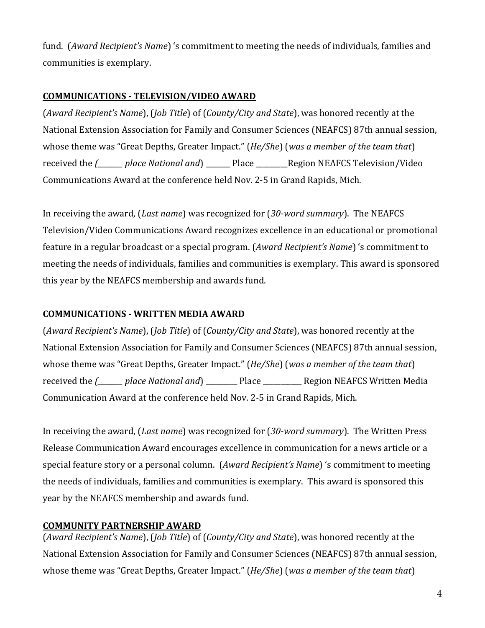fund. (*Award Recipient's Name*) 's commitment to meeting the needs of individuals, families and communities is exemplary.

## <span id="page-3-0"></span>**COMMUNICATIONS - TELEVISION/VIDEO AWARD**

(*Award Recipient's Name*), (*Job Title*) of (*County/City and State*), was honored recently at the National Extension Association for Family and Consumer Sciences (NEAFCS) 87th annual session, whose theme was "Great Depths, Greater Impact." (*He/She*) (*was a member of the team that*) received the *(\_\_\_\_\_\_\_ place National and*) \_\_\_\_\_\_\_ Place \_\_\_\_\_\_\_\_\_Region NEAFCS Television/Video Communications Award at the conference held Nov. 2-5 in Grand Rapids, Mich.

In receiving the award, (*Last name*) was recognized for (*30-word summary*). The NEAFCS Television/Video Communications Award recognizes excellence in an educational or promotional feature in a regular broadcast or a special program. (*Award Recipient's Name*) 's commitment to meeting the needs of individuals, families and communities is exemplary. This award is sponsored this year by the NEAFCS membership and awards fund.

# <span id="page-3-1"></span>**COMMUNICATIONS - WRITTEN MEDIA AWARD**

(*Award Recipient's Name*), (*Job Title*) of (*County/City and State*), was honored recently at the National Extension Association for Family and Consumer Sciences (NEAFCS) 87th annual session, whose theme was "Great Depths, Greater Impact." (*He/She*) (*was a member of the team that*) received the *(\_\_\_\_\_\_\_ place National and*) \_\_\_\_\_\_\_\_\_ Place \_\_\_\_\_\_\_\_\_\_\_ Region NEAFCS Written Media Communication Award at the conference held Nov. 2-5 in Grand Rapids, Mich.

In receiving the award, (*Last name*) was recognized for (*30-word summary*). The Written Press Release Communication Award encourages excellence in communication for a news article or a special feature story or a personal column. (*Award Recipient's Name*) 's commitment to meeting the needs of individuals, families and communities is exemplary. This award is sponsored this year by the NEAFCS membership and awards fund.

# **COMMUNITY PARTNERSHIP AWARD**

(*Award Recipient's Name*), (*Job Title*) of (*County/City and State*), was honored recently at the National Extension Association for Family and Consumer Sciences (NEAFCS) 87th annual session, whose theme was "Great Depths, Greater Impact." (*He/She*) (*was a member of the team that*)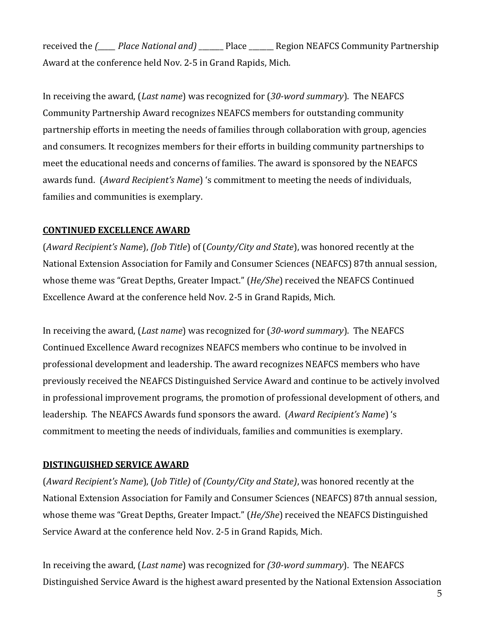received the *(\_\_\_\_\_ Place National and)* \_\_\_\_\_\_\_ Place \_\_\_\_\_\_\_ Region NEAFCS Community Partnership Award at the conference held Nov. 2-5 in Grand Rapids, Mich.

In receiving the award, (*Last name*) was recognized for (*30-word summary*). The NEAFCS Community Partnership Award recognizes NEAFCS members for outstanding community partnership efforts in meeting the needs of families through collaboration with group, agencies and consumers. It recognizes members for their efforts in building community partnerships to meet the educational needs and concerns of families. The award is sponsored by the NEAFCS awards fund. (*Award Recipient's Name*) 's commitment to meeting the needs of individuals, families and communities is exemplary.

## <span id="page-4-0"></span>**CONTINUED EXCELLENCE AWARD**

(*Award Recipient's Name*), *(Job Title*) of (*County/City and State*), was honored recently at the National Extension Association for Family and Consumer Sciences (NEAFCS) 87th annual session, whose theme was "Great Depths, Greater Impact." (*He/She*) received the NEAFCS Continued Excellence Award at the conference held Nov. 2-5 in Grand Rapids, Mich.

In receiving the award, (*Last name*) was recognized for (*30-word summary*). The NEAFCS Continued Excellence Award recognizes NEAFCS members who continue to be involved in professional development and leadership. The award recognizes NEAFCS members who have previously received the NEAFCS Distinguished Service Award and continue to be actively involved in professional improvement programs, the promotion of professional development of others, and leadership. The NEAFCS Awards fund sponsors the award. (*Award Recipient's Name*) 's commitment to meeting the needs of individuals, families and communities is exemplary.

## <span id="page-4-1"></span>**DISTINGUISHED SERVICE AWARD**

(*Award Recipient's Name*), (*Job Title)* of *(County/City and State)*, was honored recently at the National Extension Association for Family and Consumer Sciences (NEAFCS) 87th annual session, whose theme was "Great Depths, Greater Impact." (*He/She*) received the NEAFCS Distinguished Service Award at the conference held Nov. 2-5 in Grand Rapids, Mich.

In receiving the award, (*Last name*) was recognized for *(30-word summary*). The NEAFCS Distinguished Service Award is the highest award presented by the National Extension Association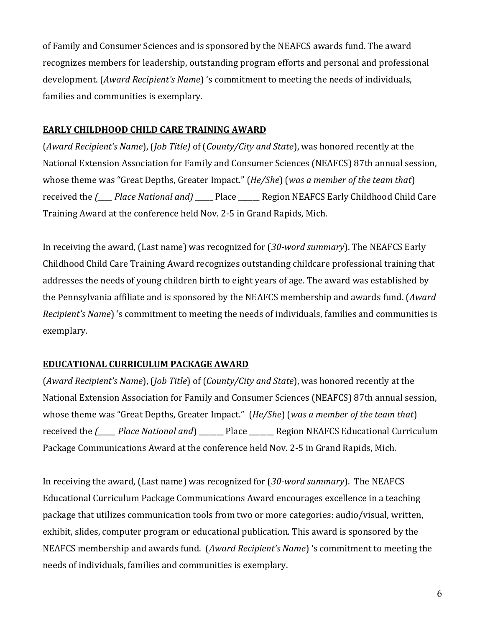of Family and Consumer Sciences and is sponsored by the NEAFCS awards fund. The award recognizes members for leadership, outstanding program efforts and personal and professional development. (*Award Recipient's Name*) 's commitment to meeting the needs of individuals, families and communities is exemplary.

#### <span id="page-5-0"></span>**EARLY CHILDHOOD CHILD CARE TRAINING AWARD**

(*Award Recipient's Name*), (*Job Title)* of (*County/City and State*), was honored recently at the National Extension Association for Family and Consumer Sciences (NEAFCS) 87th annual session, whose theme was "Great Depths, Greater Impact." (*He/She*) (*was a member of the team that*) received the *(<sup>netra</sup> Place National and*) Place Region NEAFCS Early Childhood Child Care Training Award at the conference held Nov. 2-5 in Grand Rapids, Mich.

In receiving the award, (Last name) was recognized for (*30-word summary*). The NEAFCS Early Childhood Child Care Training Award recognizes outstanding childcare professional training that addresses the needs of young children birth to eight years of age. The award was established by the Pennsylvania affiliate and is sponsored by the NEAFCS membership and awards fund. (*Award Recipient's Name*) 's commitment to meeting the needs of individuals, families and communities is exemplary.

## <span id="page-5-1"></span>**EDUCATIONAL CURRICULUM PACKAGE AWARD**

(*Award Recipient's Name*), (*Job Title*) of (*County/City and State*), was honored recently at the National Extension Association for Family and Consumer Sciences (NEAFCS) 87th annual session, whose theme was "Great Depths, Greater Impact." (*He/She*) (*was a member of the team that*) received the *(\_\_\_\_\_ Place National and*) \_\_\_\_\_\_\_ Place \_\_\_\_\_\_\_ Region NEAFCS Educational Curriculum Package Communications Award at the conference held Nov. 2-5 in Grand Rapids, Mich.

In receiving the award, (Last name) was recognized for (*30-word summary*). The NEAFCS Educational Curriculum Package Communications Award encourages excellence in a teaching package that utilizes communication tools from two or more categories: audio/visual, written, exhibit, slides, computer program or educational publication. This award is sponsored by the NEAFCS membership and awards fund. (*Award Recipient's Name*) 's commitment to meeting the needs of individuals, families and communities is exemplary.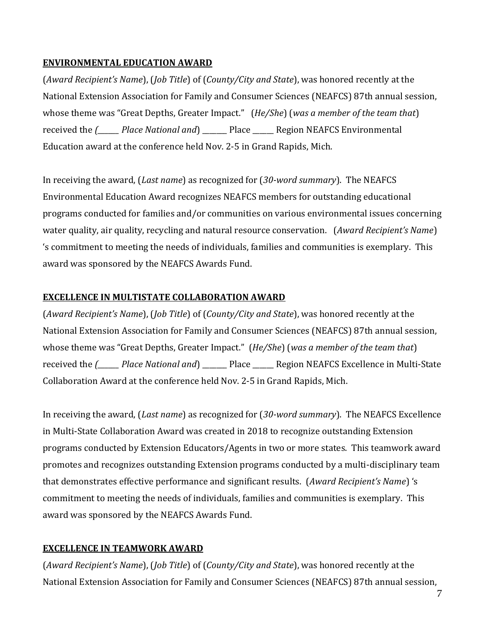## <span id="page-6-0"></span>**ENVIRONMENTAL EDUCATION AWARD**

(*Award Recipient's Name*), (*Job Title*) of (*County/City and State*), was honored recently at the National Extension Association for Family and Consumer Sciences (NEAFCS) 87th annual session, whose theme was "Great Depths, Greater Impact." (*He/She*) (*was a member of the team that*) received the *(\_\_\_\_\_\_ Place National and*) \_\_\_\_\_\_\_ Place \_\_\_\_\_\_ Region NEAFCS Environmental Education award at the conference held Nov. 2-5 in Grand Rapids, Mich.

In receiving the award, (*Last name*) as recognized for (*30-word summary*). The NEAFCS Environmental Education Award recognizes NEAFCS members for outstanding educational programs conducted for families and/or communities on various environmental issues concerning water quality, air quality, recycling and natural resource conservation. (*Award Recipient's Name*) 's commitment to meeting the needs of individuals, families and communities is exemplary. This award was sponsored by the NEAFCS Awards Fund.

## <span id="page-6-1"></span>**EXCELLENCE IN MULTISTATE COLLABORATION AWARD**

(*Award Recipient's Name*), (*Job Title*) of (*County/City and State*), was honored recently at the National Extension Association for Family and Consumer Sciences (NEAFCS) 87th annual session, whose theme was "Great Depths, Greater Impact." (*He/She*) (*was a member of the team that*) received the *(\_\_\_\_\_\_ Place National and*) \_\_\_\_\_\_\_ Place \_\_\_\_\_\_ Region NEAFCS Excellence in Multi-State Collaboration Award at the conference held Nov. 2-5 in Grand Rapids, Mich.

In receiving the award, (*Last name*) as recognized for (*30-word summary*). The NEAFCS Excellence in Multi-State Collaboration Award was created in 2018 to recognize outstanding Extension programs conducted by Extension Educators/Agents in two or more states. This teamwork award promotes and recognizes outstanding Extension programs conducted by a multi-disciplinary team that demonstrates effective performance and significant results. (*Award Recipient's Name*) 's commitment to meeting the needs of individuals, families and communities is exemplary. This award was sponsored by the NEAFCS Awards Fund.

# <span id="page-6-2"></span>**EXCELLENCE IN TEAMWORK AWARD**

(*Award Recipient's Name*), (*Job Title*) of (*County/City and State*), was honored recently at the National Extension Association for Family and Consumer Sciences (NEAFCS) 87th annual session,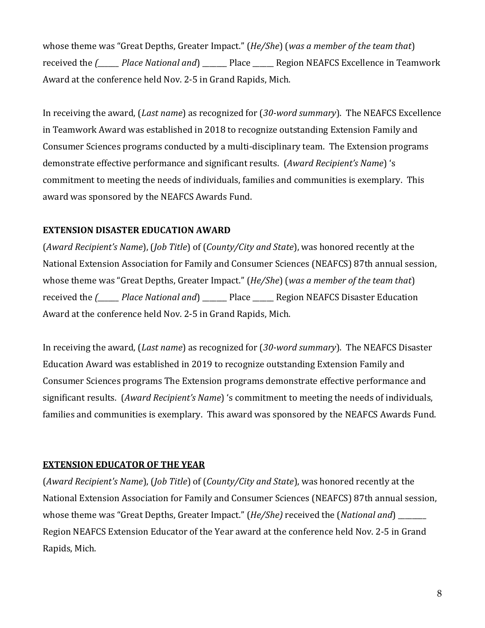whose theme was "Great Depths, Greater Impact." (*He/She*) (*was a member of the team that*) received the *(<sup>place National and*) Place Region NEAFCS Excellence in Teamwork</sup> Award at the conference held Nov. 2-5 in Grand Rapids, Mich.

In receiving the award, (*Last name*) as recognized for (*30-word summary*). The NEAFCS Excellence in Teamwork Award was established in 2018 to recognize outstanding Extension Family and Consumer Sciences programs conducted by a multi-disciplinary team. The Extension programs demonstrate effective performance and significant results. (*Award Recipient's Name*) 's commitment to meeting the needs of individuals, families and communities is exemplary. This award was sponsored by the NEAFCS Awards Fund.

## <span id="page-7-0"></span>**EXTENSION DISASTER EDUCATION AWARD**

(*Award Recipient's Name*), (*Job Title*) of (*County/City and State*), was honored recently at the National Extension Association for Family and Consumer Sciences (NEAFCS) 87th annual session, whose theme was "Great Depths, Greater Impact." (*He/She*) (*was a member of the team that*) received the *(<sup>place National and*) Place Region NEAFCS Disaster Education</sup> Award at the conference held Nov. 2-5 in Grand Rapids, Mich.

In receiving the award, (*Last name*) as recognized for (*30-word summary*). The NEAFCS Disaster Education Award was established in 2019 to recognize outstanding Extension Family and Consumer Sciences programs The Extension programs demonstrate effective performance and significant results. (*Award Recipient's Name*) 's commitment to meeting the needs of individuals, families and communities is exemplary. This award was sponsored by the NEAFCS Awards Fund.

## <span id="page-7-1"></span>**EXTENSION EDUCATOR OF THE YEAR**

(*Award Recipient's Name*), (*Job Title*) of (*County/City and State*), was honored recently at the National Extension Association for Family and Consumer Sciences (NEAFCS) 87th annual session, whose theme was "Great Depths, Greater Impact." (*He/She)* received the (*National and*) \_\_\_\_\_\_\_\_ Region NEAFCS Extension Educator of the Year award at the conference held Nov. 2-5 in Grand Rapids, Mich.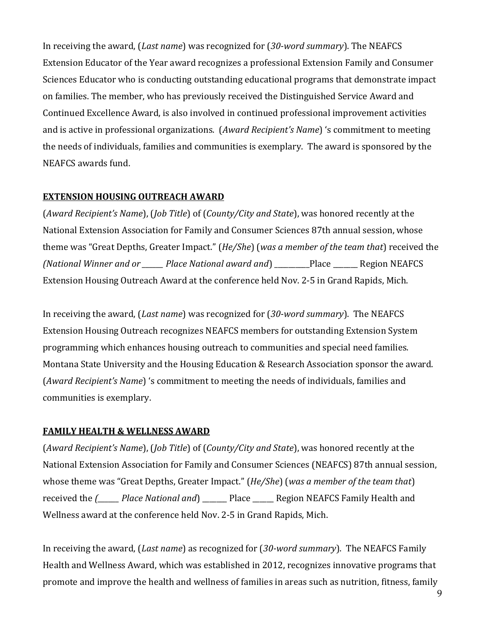In receiving the award, (*Last name*) was recognized for (*30-word summary*). The NEAFCS Extension Educator of the Year award recognizes a professional Extension Family and Consumer Sciences Educator who is conducting outstanding educational programs that demonstrate impact on families. The member, who has previously received the Distinguished Service Award and Continued Excellence Award, is also involved in continued professional improvement activities and is active in professional organizations. (*Award Recipient's Name*) 's commitment to meeting the needs of individuals, families and communities is exemplary. The award is sponsored by the NEAFCS awards fund.

## <span id="page-8-0"></span>**EXTENSION HOUSING OUTREACH AWARD**

(*Award Recipient's Name*), (*Job Title*) of (*County/City and State*), was honored recently at the National Extension Association for Family and Consumer Sciences 87th annual session, whose theme was "Great Depths, Greater Impact." (*He/She*) (*was a member of the team that*) received the *(National Winner and or \_\_\_\_\_\_ Place National award and*) \_\_\_\_\_\_\_\_\_\_Place \_\_\_\_\_\_\_ Region NEAFCS Extension Housing Outreach Award at the conference held Nov. 2-5 in Grand Rapids, Mich.

In receiving the award, (*Last name*) was recognized for (*30-word summary*). The NEAFCS Extension Housing Outreach recognizes NEAFCS members for outstanding Extension System programming which enhances housing outreach to communities and special need families. Montana State University and the Housing Education & Research Association sponsor the award. (*Award Recipient's Name*) 's commitment to meeting the needs of individuals, families and communities is exemplary.

## <span id="page-8-1"></span>**FAMILY HEALTH & WELLNESS AWARD**

(*Award Recipient's Name*), (*Job Title*) of (*County/City and State*), was honored recently at the National Extension Association for Family and Consumer Sciences (NEAFCS) 87th annual session, whose theme was "Great Depths, Greater Impact." (*He/She*) (*was a member of the team that*) received the *(\_\_\_\_\_\_ Place National and*) \_\_\_\_\_\_\_ Place \_\_\_\_\_\_ Region NEAFCS Family Health and Wellness award at the conference held Nov. 2-5 in Grand Rapids, Mich.

In receiving the award, (*Last name*) as recognized for (*30-word summary*). The NEAFCS Family Health and Wellness Award, which was established in 2012, recognizes innovative programs that promote and improve the health and wellness of families in areas such as nutrition, fitness, family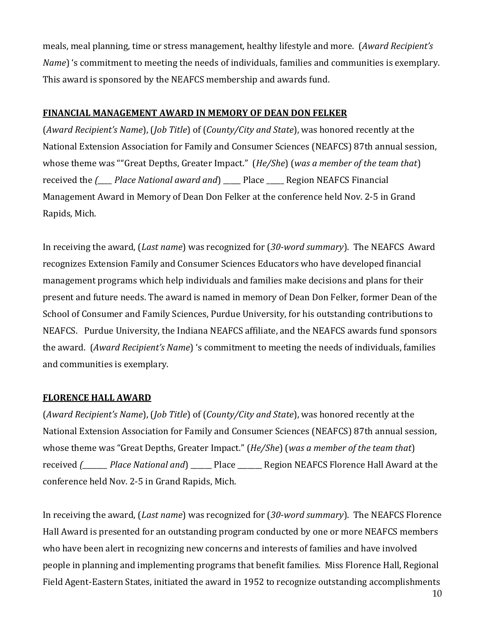meals, meal planning, time or stress management, healthy lifestyle and more. (*Award Recipient's Name*) 's commitment to meeting the needs of individuals, families and communities is exemplary. This award is sponsored by the NEAFCS membership and awards fund.

#### <span id="page-9-0"></span>**FINANCIAL MANAGEMENT AWARD IN MEMORY OF DEAN DON FELKER**

(*Award Recipient's Name*), (*Job Title*) of (*County/City and State*), was honored recently at the National Extension Association for Family and Consumer Sciences (NEAFCS) 87th annual session, whose theme was ""Great Depths, Greater Impact." (*He/She*) (*was a member of the team that*) received the *(<sup>neta</sup> Place National award and*) Place Region NEAFCS Financial Management Award in Memory of Dean Don Felker at the conference held Nov. 2-5 in Grand Rapids, Mich.

In receiving the award, (*Last name*) was recognized for (*30-word summary*). The NEAFCS Award recognizes Extension Family and Consumer Sciences Educators who have developed financial management programs which help individuals and families make decisions and plans for their present and future needs. The award is named in memory of Dean Don Felker, former Dean of the School of Consumer and Family Sciences, Purdue University, for his outstanding contributions to NEAFCS. Purdue University, the Indiana NEAFCS affiliate, and the NEAFCS awards fund sponsors the award. (*Award Recipient's Name*) 's commitment to meeting the needs of individuals, families and communities is exemplary.

#### <span id="page-9-1"></span>**FLORENCE HALL AWARD**

(*Award Recipient's Name*), (*Job Title*) of (*County/City and State*), was honored recently at the National Extension Association for Family and Consumer Sciences (NEAFCS) 87th annual session, whose theme was "Great Depths, Greater Impact." (*He/She*) (*was a member of the team that*) received *(\_\_\_\_\_\_\_ Place National and*) \_\_\_\_\_\_ Place \_\_\_\_\_\_\_ Region NEAFCS Florence Hall Award at the conference held Nov. 2-5 in Grand Rapids, Mich.

In receiving the award, (*Last name*) was recognized for (*30-word summary*). The NEAFCS Florence Hall Award is presented for an outstanding program conducted by one or more NEAFCS members who have been alert in recognizing new concerns and interests of families and have involved people in planning and implementing programs that benefit families. Miss Florence Hall, Regional Field Agent-Eastern States, initiated the award in 1952 to recognize outstanding accomplishments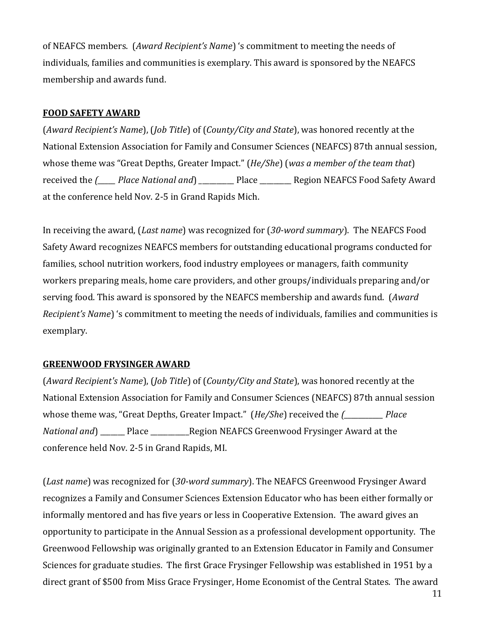of NEAFCS members. (*Award Recipient's Name*) 's commitment to meeting the needs of individuals, families and communities is exemplary. This award is sponsored by the NEAFCS membership and awards fund.

#### <span id="page-10-0"></span>**FOOD SAFETY AWARD**

(*Award Recipient's Name*), (*Job Title*) of (*County/City and State*), was honored recently at the National Extension Association for Family and Consumer Sciences (NEAFCS) 87th annual session, whose theme was "Great Depths, Greater Impact." (*He/She*) (*was a member of the team that*) received the *(<sup>place National and*) *Place Place Region NEAFCS Food Safety Award*</sup> at the conference held Nov. 2-5 in Grand Rapids Mich.

In receiving the award, (*Last name*) was recognized for (*30-word summary*). The NEAFCS Food Safety Award recognizes NEAFCS members for outstanding educational programs conducted for families, school nutrition workers, food industry employees or managers, faith community workers preparing meals, home care providers, and other groups/individuals preparing and/or serving food. This award is sponsored by the NEAFCS membership and awards fund. (*Award Recipient's Name*) 's commitment to meeting the needs of individuals, families and communities is exemplary.

#### <span id="page-10-1"></span>**GREENWOOD FRYSINGER AWARD**

(*Award Recipient's Name*), (*Job Title*) of (*County/City and State*), was honored recently at the National Extension Association for Family and Consumer Sciences (NEAFCS) 87th annual session whose theme was, "Great Depths, Greater Impact." (*He/She*) received the *(\_\_\_\_\_\_\_\_\_\_\_ Place National and* **Example 2** Place **Region NEAFCS Greenwood Frysinger Award at the** conference held Nov. 2-5 in Grand Rapids, MI.

(*Last name*) was recognized for (*30-word summary*). The NEAFCS Greenwood Frysinger Award recognizes a Family and Consumer Sciences Extension Educator who has been either formally or informally mentored and has five years or less in Cooperative Extension. The award gives an opportunity to participate in the Annual Session as a professional development opportunity. The Greenwood Fellowship was originally granted to an Extension Educator in Family and Consumer Sciences for graduate studies. The first Grace Frysinger Fellowship was established in 1951 by a direct grant of \$500 from Miss Grace Frysinger, Home Economist of the Central States. The award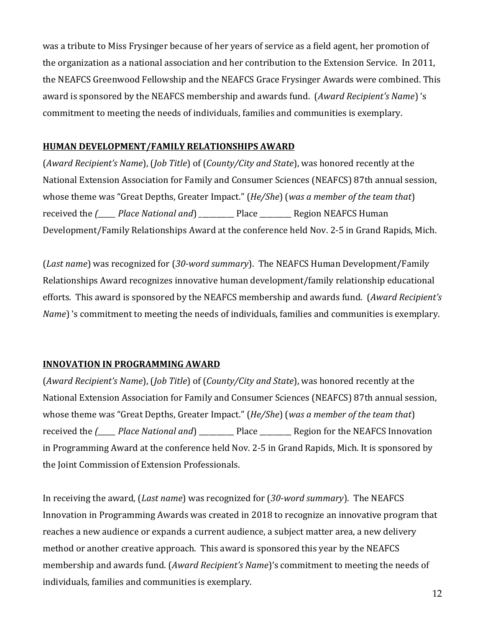was a tribute to Miss Frysinger because of her years of service as a field agent, her promotion of the organization as a national association and her contribution to the Extension Service. In 2011, the NEAFCS Greenwood Fellowship and the NEAFCS Grace Frysinger Awards were combined. This award is sponsored by the NEAFCS membership and awards fund. (*Award Recipient's Name*) 's commitment to meeting the needs of individuals, families and communities is exemplary.

## <span id="page-11-0"></span>**HUMAN DEVELOPMENT/FAMILY RELATIONSHIPS AWARD**

(*Award Recipient's Name*), (*Job Title*) of (*County/City and State*), was honored recently at the National Extension Association for Family and Consumer Sciences (NEAFCS) 87th annual session, whose theme was "Great Depths, Greater Impact." (*He/She*) (*was a member of the team that*) received the *(\_\_\_\_\_ Place National and*) *\_*\_\_\_\_\_\_\_\_\_ Place \_\_\_\_\_\_\_\_\_ Region NEAFCS Human Development/Family Relationships Award at the conference held Nov. 2-5 in Grand Rapids, Mich.

(*Last name*) was recognized for (*30-word summary*). The NEAFCS Human Development/Family Relationships Award recognizes innovative human development/family relationship educational efforts. This award is sponsored by the NEAFCS membership and awards fund. (*Award Recipient's Name*) 's commitment to meeting the needs of individuals, families and communities is exemplary.

## <span id="page-11-1"></span>**INNOVATION IN PROGRAMMING AWARD**

(*Award Recipient's Name*), (*Job Title*) of (*County/City and State*), was honored recently at the National Extension Association for Family and Consumer Sciences (NEAFCS) 87th annual session, whose theme was "Great Depths, Greater Impact." (*He/She*) (*was a member of the team that*) received the *(\_\_\_\_\_ Place National and*) \_\_\_\_\_\_\_\_\_\_ Place \_\_\_\_\_\_\_\_\_ Region for the NEAFCS Innovation in Programming Award at the conference held Nov. 2-5 in Grand Rapids, Mich. It is sponsored by the Joint Commission of Extension Professionals.

In receiving the award, (*Last name*) was recognized for (*30-word summary*). The NEAFCS Innovation in Programming Awards was created in 2018 to recognize an innovative program that reaches a new audience or expands a current audience, a subject matter area, a new delivery method or another creative approach. This award is sponsored this year by the NEAFCS membership and awards fund. (*Award Recipient's Name*)'s commitment to meeting the needs of individuals, families and communities is exemplary.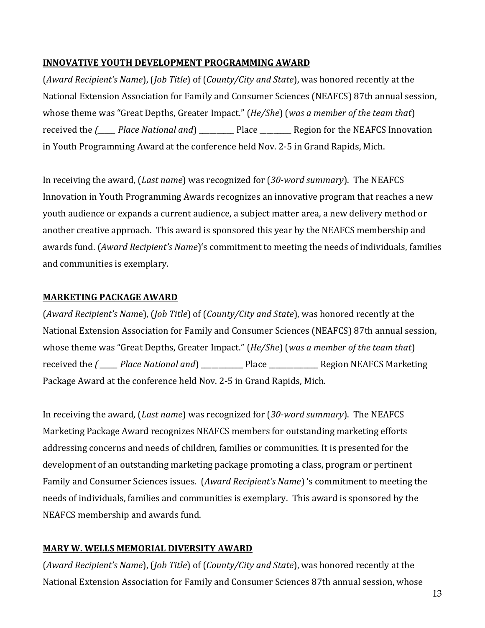## **INNOVATIVE YOUTH DEVELOPMENT PROGRAMMING AWARD**

(*Award Recipient's Name*), (*Job Title*) of (*County/City and State*), was honored recently at the National Extension Association for Family and Consumer Sciences (NEAFCS) 87th annual session, whose theme was "Great Depths, Greater Impact." (*He/She*) (*was a member of the team that*) received the *(\_\_\_\_\_ Place National and*) \_\_\_\_\_\_\_\_\_\_ Place \_\_\_\_\_\_\_\_\_ Region for the NEAFCS Innovation in Youth Programming Award at the conference held Nov. 2-5 in Grand Rapids, Mich.

In receiving the award, (*Last name*) was recognized for (*30-word summary*). The NEAFCS Innovation in Youth Programming Awards recognizes an innovative program that reaches a new youth audience or expands a current audience, a subject matter area, a new delivery method or another creative approach. This award is sponsored this year by the NEAFCS membership and awards fund. (*Award Recipient's Name*)'s commitment to meeting the needs of individuals, families and communities is exemplary.

## **MARKETING PACKAGE AWARD**

(*Award Recipient's Nam*e), (*Job Title*) of (*County/City and State*), was honored recently at the National Extension Association for Family and Consumer Sciences (NEAFCS) 87th annual session, whose theme was "Great Depths, Greater Impact." (*He/She*) (*was a member of the team that*) received the *( \_\_\_\_\_ Place National and*) \_\_\_\_\_\_\_\_\_\_\_\_ Place \_\_\_\_\_\_\_\_\_\_\_\_\_\_ Region NEAFCS Marketing Package Award at the conference held Nov. 2-5 in Grand Rapids, Mich.

In receiving the award, (*Last name*) was recognized for (*30-word summary*). The NEAFCS Marketing Package Award recognizes NEAFCS members for outstanding marketing efforts addressing concerns and needs of children, families or communities. It is presented for the development of an outstanding marketing package promoting a class, program or pertinent Family and Consumer Sciences issues. (*Award Recipient's Name*) 's commitment to meeting the needs of individuals, families and communities is exemplary. This award is sponsored by the NEAFCS membership and awards fund.

## <span id="page-12-0"></span>**MARY W. WELLS MEMORIAL DIVERSITY AWARD**

(*Award Recipient's Name*), (*Job Title*) of (*County/City and State*), was honored recently at the National Extension Association for Family and Consumer Sciences 87th annual session, whose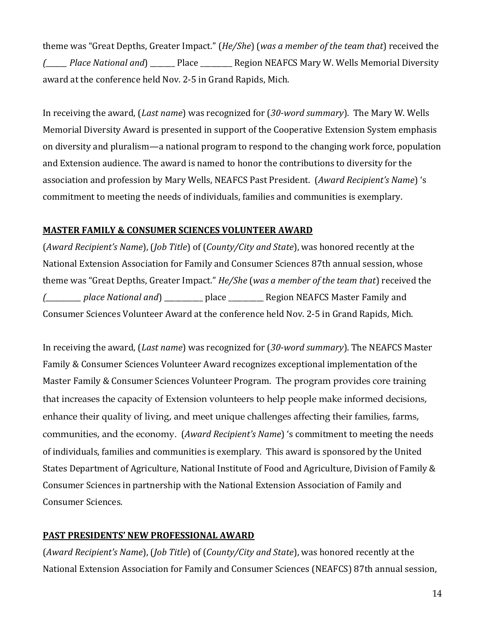theme was "Great Depths, Greater Impact." (*He/She*) (*was a member of the team that*) received the *(\_\_\_\_\_\_ Place National and*) \_\_\_\_\_\_\_ Place \_\_\_\_\_\_\_\_\_ Region NEAFCS Mary W. Wells Memorial Diversity award at the conference held Nov. 2-5 in Grand Rapids, Mich.

In receiving the award, (*Last name*) was recognized for (*30-word summary*). The Mary W. Wells Memorial Diversity Award is presented in support of the Cooperative Extension System emphasis on diversity and pluralism—a national program to respond to the changing work force, population and Extension audience. The award is named to honor the contributions to diversity for the association and profession by Mary Wells, NEAFCS Past President. (*Award Recipient's Name*) 's commitment to meeting the needs of individuals, families and communities is exemplary.

## <span id="page-13-0"></span>**MASTER FAMILY & CONSUMER SCIENCES VOLUNTEER AWARD**

(*Award Recipient's Name*), (*Job Title*) of (*County/City and State*), was honored recently at the National Extension Association for Family and Consumer Sciences 87th annual session, whose theme was "Great Depths, Greater Impact." *He/She* (*was a member of the team that*) received the *(\_\_\_\_\_\_\_\_\_\_ place National and*) \_\_\_\_\_\_\_\_\_\_\_ place \_\_\_\_\_\_\_\_\_\_ Region NEAFCS Master Family and Consumer Sciences Volunteer Award at the conference held Nov. 2-5 in Grand Rapids, Mich.

In receiving the award, (*Last name*) was recognized for (*30-word summary*). The NEAFCS Master Family & Consumer Sciences Volunteer Award recognizes exceptional implementation of the Master Family & Consumer Sciences Volunteer Program. The program provides core training that increases the capacity of Extension volunteers to help people make informed decisions, enhance their quality of living, and meet unique challenges affecting their families, farms, communities, and the economy. (*Award Recipient's Name*) 's commitment to meeting the needs of individuals, families and communities is exemplary. This award is sponsored by the United States Department of Agriculture, National Institute of Food and Agriculture, Division of Family & Consumer Sciences in partnership with the National Extension Association of Family and Consumer Sciences.

## <span id="page-13-1"></span>**PAST PRESIDENTS' NEW PROFESSIONAL AWARD**

(*Award Recipient's Name*), (*Job Title*) of (*County/City and State*), was honored recently at the National Extension Association for Family and Consumer Sciences (NEAFCS) 87th annual session,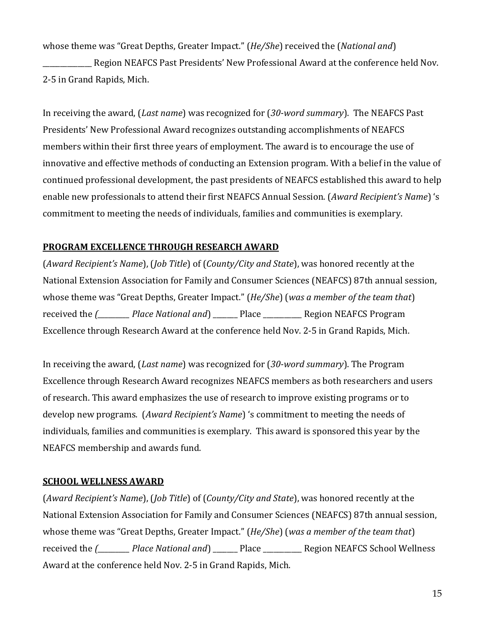whose theme was "Great Depths, Greater Impact." (*He/She*) received the (*National and*)

Region NEAFCS Past Presidents' New Professional Award at the conference held Nov. 2-5 in Grand Rapids, Mich.

In receiving the award, (*Last name*) was recognized for (*30-word summary*). The NEAFCS Past Presidents' New Professional Award recognizes outstanding accomplishments of NEAFCS members within their first three years of employment. The award is to encourage the use of innovative and effective methods of conducting an Extension program. With a belief in the value of continued professional development, the past presidents of NEAFCS established this award to help enable new professionals to attend their first NEAFCS Annual Session. (*Award Recipient's Name*) 's commitment to meeting the needs of individuals, families and communities is exemplary.

## <span id="page-14-0"></span>**PROGRAM EXCELLENCE THROUGH RESEARCH AWARD**

(*Award Recipient's Name*), (*Job Title*) of (*County/City and State*), was honored recently at the National Extension Association for Family and Consumer Sciences (NEAFCS) 87th annual session, whose theme was "Great Depths, Greater Impact." (*He/She*) (*was a member of the team that*) received the *(\_\_\_\_\_\_\_\_\_ Place National and*) \_\_\_\_\_\_\_ Place \_\_\_\_\_\_\_\_\_\_\_ Region NEAFCS Program Excellence through Research Award at the conference held Nov. 2-5 in Grand Rapids, Mich.

In receiving the award, (*Last name*) was recognized for (*30-word summary*). The Program Excellence through Research Award recognizes NEAFCS members as both researchers and users of research. This award emphasizes the use of research to improve existing programs or to develop new programs. (*Award Recipient's Name*) 's commitment to meeting the needs of individuals, families and communities is exemplary. This award is sponsored this year by the NEAFCS membership and awards fund.

#### <span id="page-14-1"></span>**SCHOOL WELLNESS AWARD**

(*Award Recipient's Name*), (*Job Title*) of (*County/City and State*), was honored recently at the National Extension Association for Family and Consumer Sciences (NEAFCS) 87th annual session, whose theme was "Great Depths, Greater Impact." (*He/She*) (*was a member of the team that*) received the *(\_\_\_\_\_\_\_\_\_ Place National and*) \_\_\_\_\_\_\_ Place \_\_\_\_\_\_\_\_\_\_\_ Region NEAFCS School Wellness Award at the conference held Nov. 2-5 in Grand Rapids, Mich.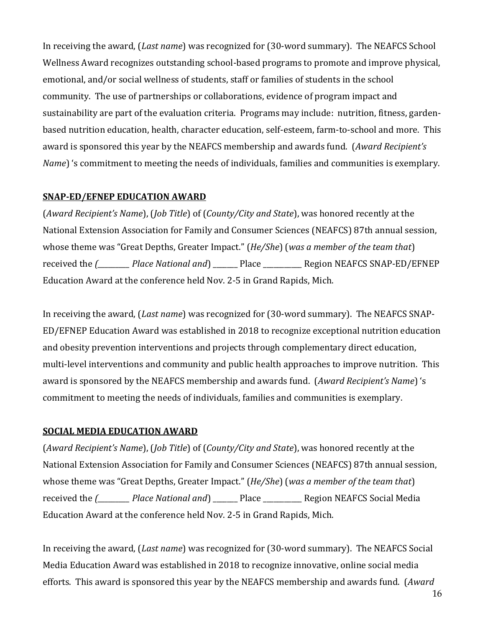In receiving the award, (*Last name*) was recognized for (30-word summary). The NEAFCS School Wellness Award recognizes outstanding school-based programs to promote and improve physical, emotional, and/or social wellness of students, staff or families of students in the school community. The use of partnerships or collaborations, evidence of program impact and sustainability are part of the evaluation criteria. Programs may include: nutrition, fitness, gardenbased nutrition education, health, character education, self-esteem, farm-to-school and more. This award is sponsored this year by the NEAFCS membership and awards fund. (*Award Recipient's Name*) 's commitment to meeting the needs of individuals, families and communities is exemplary.

## <span id="page-15-0"></span>**SNAP-ED/EFNEP EDUCATION AWARD**

(*Award Recipient's Name*), (*Job Title*) of (*County/City and State*), was honored recently at the National Extension Association for Family and Consumer Sciences (NEAFCS) 87th annual session, whose theme was "Great Depths, Greater Impact." (*He/She*) (*was a member of the team that*) received the *(\_\_\_\_\_\_\_\_\_ Place National and*) \_\_\_\_\_\_\_ Place \_\_\_\_\_\_\_\_\_\_\_ Region NEAFCS SNAP-ED/EFNEP Education Award at the conference held Nov. 2-5 in Grand Rapids, Mich.

In receiving the award, (*Last name*) was recognized for (30-word summary). The NEAFCS SNAP-ED/EFNEP Education Award was established in 2018 to recognize exceptional nutrition education and obesity prevention interventions and projects through complementary direct education, multi-level interventions and community and public health approaches to improve nutrition. This award is sponsored by the NEAFCS membership and awards fund. (*Award Recipient's Name*) 's commitment to meeting the needs of individuals, families and communities is exemplary.

## <span id="page-15-1"></span>**SOCIAL MEDIA EDUCATION AWARD**

(*Award Recipient's Name*), (*Job Title*) of (*County/City and State*), was honored recently at the National Extension Association for Family and Consumer Sciences (NEAFCS) 87th annual session, whose theme was "Great Depths, Greater Impact." (*He/She*) (*was a member of the team that*) received the *(\_\_\_\_\_\_\_\_\_ Place National and*) \_\_\_\_\_\_\_ Place \_\_\_\_\_\_\_\_\_\_\_ Region NEAFCS Social Media Education Award at the conference held Nov. 2-5 in Grand Rapids, Mich.

In receiving the award, (*Last name*) was recognized for (30-word summary). The NEAFCS Social Media Education Award was established in 2018 to recognize innovative, online social media efforts. This award is sponsored this year by the NEAFCS membership and awards fund. (*Award*